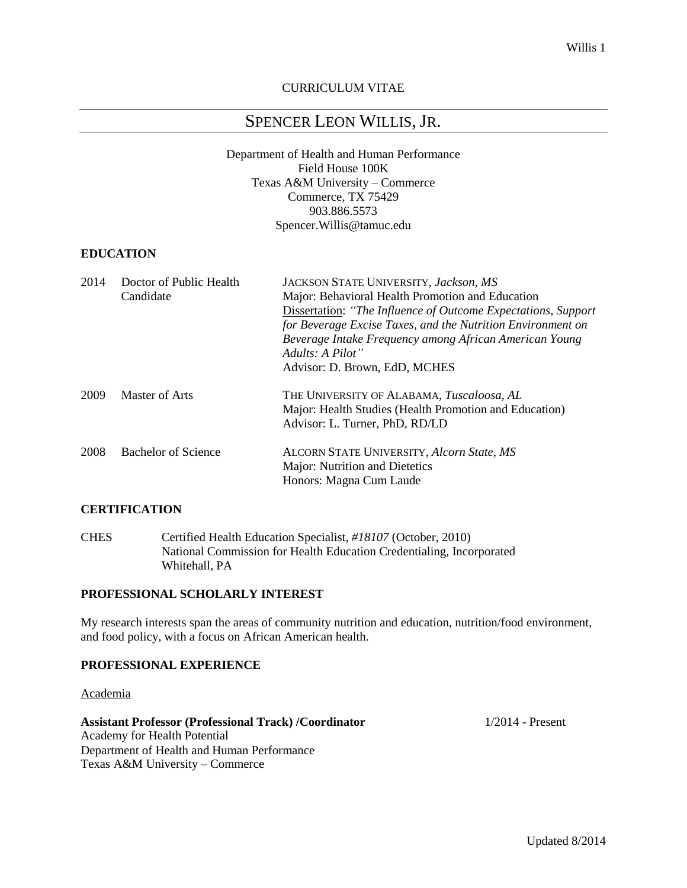# CURRICULUM VITAE

# SPENCER LEON WILLIS, JR.

Department of Health and Human Performance Field House 100K Texas A&M University – Commerce Commerce, TX 75429 903.886.5573 Spencer.Willis@tamuc.edu

# **EDUCATION**

| 2014 | Doctor of Public Health<br>Candidate | JACKSON STATE UNIVERSITY, Jackson, MS<br>Major: Behavioral Health Promotion and Education<br>Dissertation: "The Influence of Outcome Expectations, Support<br>for Beverage Excise Taxes, and the Nutrition Environment on<br>Beverage Intake Frequency among African American Young<br>Adults: A Pilot"<br>Advisor: D. Brown, EdD, MCHES |
|------|--------------------------------------|------------------------------------------------------------------------------------------------------------------------------------------------------------------------------------------------------------------------------------------------------------------------------------------------------------------------------------------|
| 2009 | Master of Arts                       | THE UNIVERSITY OF ALABAMA, <i>Tuscaloosa</i> , AL<br>Major: Health Studies (Health Promotion and Education)<br>Advisor: L. Turner, PhD, RD/LD                                                                                                                                                                                            |
| 2008 | Bachelor of Science                  | ALCORN STATE UNIVERSITY, Alcorn State, MS<br>Major: Nutrition and Dietetics<br>Honors: Magna Cum Laude                                                                                                                                                                                                                                   |

#### **CERTIFICATION**

CHES Certified Health Education Specialist, *#18107* (October, 2010) National Commission for Health Education Credentialing, Incorporated Whitehall, PA

# **PROFESSIONAL SCHOLARLY INTEREST**

My research interests span the areas of community nutrition and education, nutrition/food environment, and food policy, with a focus on African American health.

# **PROFESSIONAL EXPERIENCE**

#### Academia

## **Assistant Professor (Professional Track) /Coordinator** 1/2014 - Present Academy for Health Potential Department of Health and Human Performance Texas A&M University – Commerce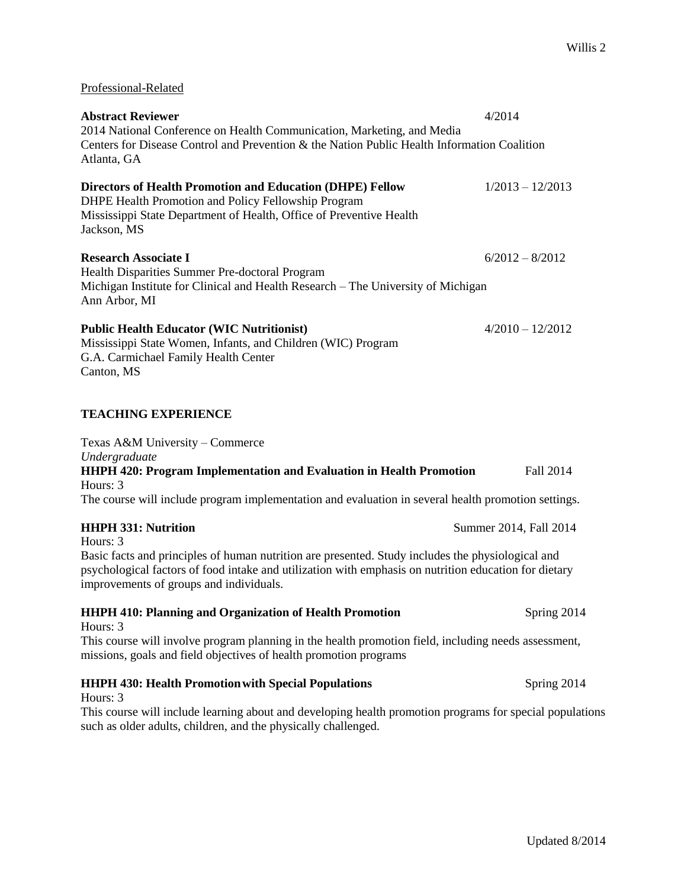| Professional-Related                                                                                                                                                                                                                                 |                        |
|------------------------------------------------------------------------------------------------------------------------------------------------------------------------------------------------------------------------------------------------------|------------------------|
| <b>Abstract Reviewer</b><br>2014 National Conference on Health Communication, Marketing, and Media<br>Centers for Disease Control and Prevention & the Nation Public Health Information Coalition<br>Atlanta, GA                                     | 4/2014                 |
| <b>Directors of Health Promotion and Education (DHPE) Fellow</b><br>DHPE Health Promotion and Policy Fellowship Program<br>Mississippi State Department of Health, Office of Preventive Health<br>Jackson, MS                                        | $1/2013 - 12/2013$     |
| <b>Research Associate I</b><br>Health Disparities Summer Pre-doctoral Program<br>Michigan Institute for Clinical and Health Research - The University of Michigan<br>Ann Arbor, MI                                                                   | $6/2012 - 8/2012$      |
| <b>Public Health Educator (WIC Nutritionist)</b><br>Mississippi State Women, Infants, and Children (WIC) Program<br>G.A. Carmichael Family Health Center<br>Canton, MS                                                                               | $4/2010 - 12/2012$     |
| <b>TEACHING EXPERIENCE</b>                                                                                                                                                                                                                           |                        |
| Texas A&M University - Commerce<br>Undergraduate<br><b>HHPH 420: Program Implementation and Evaluation in Health Promotion</b><br>Hours: 3<br>The course will include program implementation and evaluation in several health promotion settings.    | Fall 2014              |
| <b>HHPH 331: Nutrition</b><br>Hours: 3<br>Basic facts and principles of human nutrition are presented. Study includes the physiological and<br>psychological factors of food intake and utilization with emphasis on nutrition education for dietary | Summer 2014, Fall 2014 |
| improvements of groups and individuals.<br><b>HHPH 410: Planning and Organization of Health Promotion</b>                                                                                                                                            | Spring 2014            |
| Hours: 3<br>This course will involve program planning in the health promotion field, including needs assessment,<br>missions, goals and field objectives of health promotion programs                                                                |                        |
| <b>HHPH 430: Health Promotion with Special Populations</b><br>Hours: 3                                                                                                                                                                               | Spring 2014            |
| This course will include learning about and developing health promotion programs for special populations                                                                                                                                             |                        |

such as older adults, children, and the physically challenged.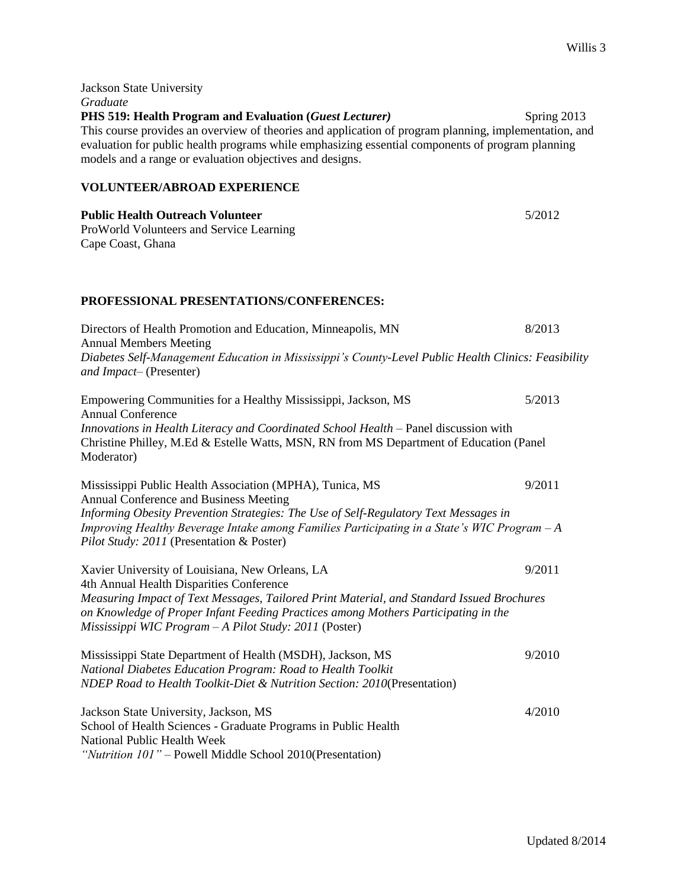| Jackson State University<br>Graduate                                                                                                                                                                                                                                                                                             |             |
|----------------------------------------------------------------------------------------------------------------------------------------------------------------------------------------------------------------------------------------------------------------------------------------------------------------------------------|-------------|
| PHS 519: Health Program and Evaluation (Guest Lecturer)<br>This course provides an overview of theories and application of program planning, implementation, and<br>evaluation for public health programs while emphasizing essential components of program planning<br>models and a range or evaluation objectives and designs. | Spring 2013 |
| <b>VOLUNTEER/ABROAD EXPERIENCE</b>                                                                                                                                                                                                                                                                                               |             |
| <b>Public Health Outreach Volunteer</b><br>ProWorld Volunteers and Service Learning<br>Cape Coast, Ghana                                                                                                                                                                                                                         | 5/2012      |
| PROFESSIONAL PRESENTATIONS/CONFERENCES:                                                                                                                                                                                                                                                                                          |             |
| Directors of Health Promotion and Education, Minneapolis, MN<br><b>Annual Members Meeting</b>                                                                                                                                                                                                                                    | 8/2013      |
| Diabetes Self-Management Education in Mississippi's County-Level Public Health Clinics: Feasibility<br>and Impact-(Presenter)                                                                                                                                                                                                    |             |
| Empowering Communities for a Healthy Mississippi, Jackson, MS<br><b>Annual Conference</b>                                                                                                                                                                                                                                        | 5/2013      |
| Innovations in Health Literacy and Coordinated School Health - Panel discussion with<br>Christine Philley, M.Ed & Estelle Watts, MSN, RN from MS Department of Education (Panel<br>Moderator)                                                                                                                                    |             |
| Mississippi Public Health Association (MPHA), Tunica, MS<br>Annual Conference and Business Meeting                                                                                                                                                                                                                               | 9/2011      |
| Informing Obesity Prevention Strategies: The Use of Self-Regulatory Text Messages in<br>Improving Healthy Beverage Intake among Families Participating in a State's WIC Program - A<br>Pilot Study: 2011 (Presentation & Poster)                                                                                                 |             |
| Xavier University of Louisiana, New Orleans, LA<br>4th Annual Health Disparities Conference                                                                                                                                                                                                                                      | 9/2011      |
| Measuring Impact of Text Messages, Tailored Print Material, and Standard Issued Brochures<br>on Knowledge of Proper Infant Feeding Practices among Mothers Participating in the<br>Mississippi WIC Program - A Pilot Study: 2011 (Poster)                                                                                        |             |
| Mississippi State Department of Health (MSDH), Jackson, MS<br>National Diabetes Education Program: Road to Health Toolkit<br>NDEP Road to Health Toolkit-Diet & Nutrition Section: 2010(Presentation)                                                                                                                            | 9/2010      |
| Jackson State University, Jackson, MS<br>School of Health Sciences - Graduate Programs in Public Health<br>National Public Health Week<br>"Nutrition 101" - Powell Middle School 2010(Presentation)                                                                                                                              | 4/2010      |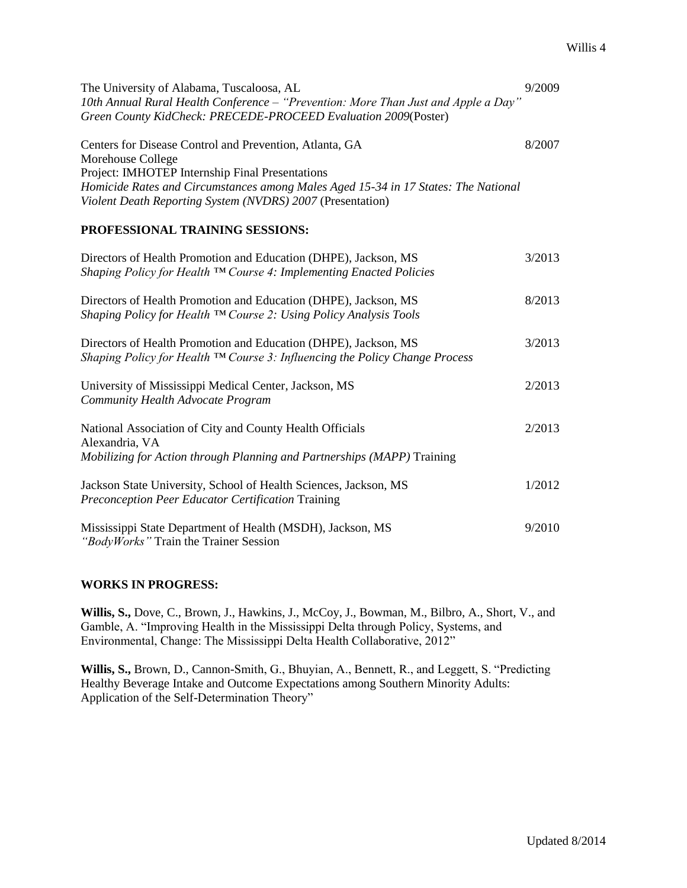| The University of Alabama, Tuscaloosa, AL<br>10th Annual Rural Health Conference – "Prevention: More Than Just and Apple a Day"<br>Green County KidCheck: PRECEDE-PROCEED Evaluation 2009(Poster)                                                                                   | 9/2009 |
|-------------------------------------------------------------------------------------------------------------------------------------------------------------------------------------------------------------------------------------------------------------------------------------|--------|
| Centers for Disease Control and Prevention, Atlanta, GA<br>Morehouse College<br>Project: IMHOTEP Internship Final Presentations<br>Homicide Rates and Circumstances among Males Aged 15-34 in 17 States: The National<br>Violent Death Reporting System (NVDRS) 2007 (Presentation) | 8/2007 |

# **PROFESSIONAL TRAINING SESSIONS:**

| Directors of Health Promotion and Education (DHPE), Jackson, MS<br>Shaping Policy for Health $TM$ Course 4: Implementing Enacted Policies                    | 3/2013 |
|--------------------------------------------------------------------------------------------------------------------------------------------------------------|--------|
| Directors of Health Promotion and Education (DHPE), Jackson, MS<br>Shaping Policy for Health ™ Course 2: Using Policy Analysis Tools                         | 8/2013 |
| Directors of Health Promotion and Education (DHPE), Jackson, MS<br>Shaping Policy for Health $TM$ Course 3: Influencing the Policy Change Process            | 3/2013 |
| University of Mississippi Medical Center, Jackson, MS<br>Community Health Advocate Program                                                                   | 2/2013 |
| National Association of City and County Health Officials<br>Alexandria, VA<br><i>Mobilizing for Action through Planning and Partnerships (MAPP)</i> Training | 2/2013 |
| Jackson State University, School of Health Sciences, Jackson, MS<br>Preconception Peer Educator Certification Training                                       | 1/2012 |
| Mississippi State Department of Health (MSDH), Jackson, MS<br><i>"BodyWorks"</i> Train the Trainer Session                                                   | 9/2010 |

## **WORKS IN PROGRESS:**

**Willis, S.,** Dove, C., Brown, J., Hawkins, J., McCoy, J., Bowman, M., Bilbro, A., Short, V., and Gamble, A. "Improving Health in the Mississippi Delta through Policy, Systems, and Environmental, Change: The Mississippi Delta Health Collaborative, 2012"

**Willis, S.,** Brown, D., Cannon-Smith, G., Bhuyian, A., Bennett, R., and Leggett, S. "Predicting Healthy Beverage Intake and Outcome Expectations among Southern Minority Adults: Application of the Self-Determination Theory"